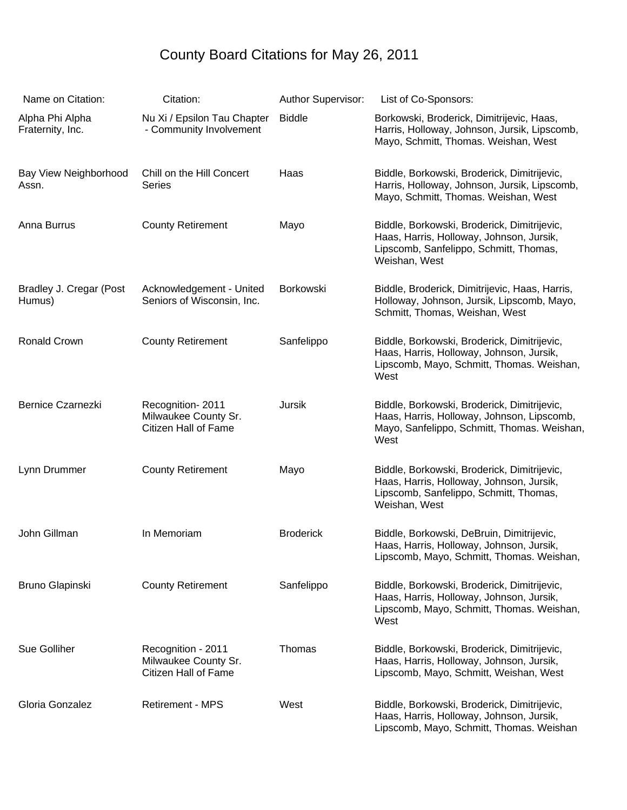## County Board Citations for May 26, 2011

| Name on Citation:                   | Citation:                                                          | Author Supervisor: | List of Co-Sponsors:                                                                                                                               |
|-------------------------------------|--------------------------------------------------------------------|--------------------|----------------------------------------------------------------------------------------------------------------------------------------------------|
| Alpha Phi Alpha<br>Fraternity, Inc. | Nu Xi / Epsilon Tau Chapter<br>- Community Involvement             | <b>Biddle</b>      | Borkowski, Broderick, Dimitrijevic, Haas,<br>Harris, Holloway, Johnson, Jursik, Lipscomb,<br>Mayo, Schmitt, Thomas. Weishan, West                  |
| Bay View Neighborhood<br>Assn.      | Chill on the Hill Concert<br><b>Series</b>                         | Haas               | Biddle, Borkowski, Broderick, Dimitrijevic,<br>Harris, Holloway, Johnson, Jursik, Lipscomb,<br>Mayo, Schmitt, Thomas. Weishan, West                |
| Anna Burrus                         | <b>County Retirement</b>                                           | Mayo               | Biddle, Borkowski, Broderick, Dimitrijevic,<br>Haas, Harris, Holloway, Johnson, Jursik,<br>Lipscomb, Sanfelippo, Schmitt, Thomas,<br>Weishan, West |
| Bradley J. Cregar (Post<br>Humus)   | Acknowledgement - United<br>Seniors of Wisconsin, Inc.             | Borkowski          | Biddle, Broderick, Dimitrijevic, Haas, Harris,<br>Holloway, Johnson, Jursik, Lipscomb, Mayo,<br>Schmitt, Thomas, Weishan, West                     |
| <b>Ronald Crown</b>                 | <b>County Retirement</b>                                           | Sanfelippo         | Biddle, Borkowski, Broderick, Dimitrijevic,<br>Haas, Harris, Holloway, Johnson, Jursik,<br>Lipscomb, Mayo, Schmitt, Thomas. Weishan,<br>West       |
| <b>Bernice Czarnezki</b>            | Recognition-2011<br>Milwaukee County Sr.<br>Citizen Hall of Fame   | <b>Jursik</b>      | Biddle, Borkowski, Broderick, Dimitrijevic,<br>Haas, Harris, Holloway, Johnson, Lipscomb,<br>Mayo, Sanfelippo, Schmitt, Thomas. Weishan,<br>West   |
| Lynn Drummer                        | <b>County Retirement</b>                                           | Mayo               | Biddle, Borkowski, Broderick, Dimitrijevic,<br>Haas, Harris, Holloway, Johnson, Jursik,<br>Lipscomb, Sanfelippo, Schmitt, Thomas,<br>Weishan, West |
| John Gillman                        | In Memoriam                                                        | <b>Broderick</b>   | Biddle, Borkowski, DeBruin, Dimitrijevic,<br>Haas, Harris, Holloway, Johnson, Jursik,<br>Lipscomb, Mayo, Schmitt, Thomas. Weishan,                 |
| Bruno Glapinski                     | <b>County Retirement</b>                                           | Sanfelippo         | Biddle, Borkowski, Broderick, Dimitrijevic,<br>Haas, Harris, Holloway, Johnson, Jursik,<br>Lipscomb, Mayo, Schmitt, Thomas. Weishan,<br>West       |
| Sue Golliher                        | Recognition - 2011<br>Milwaukee County Sr.<br>Citizen Hall of Fame | Thomas             | Biddle, Borkowski, Broderick, Dimitrijevic,<br>Haas, Harris, Holloway, Johnson, Jursik,<br>Lipscomb, Mayo, Schmitt, Weishan, West                  |
| Gloria Gonzalez                     | <b>Retirement - MPS</b>                                            | West               | Biddle, Borkowski, Broderick, Dimitrijevic,<br>Haas, Harris, Holloway, Johnson, Jursik,<br>Lipscomb, Mayo, Schmitt, Thomas. Weishan                |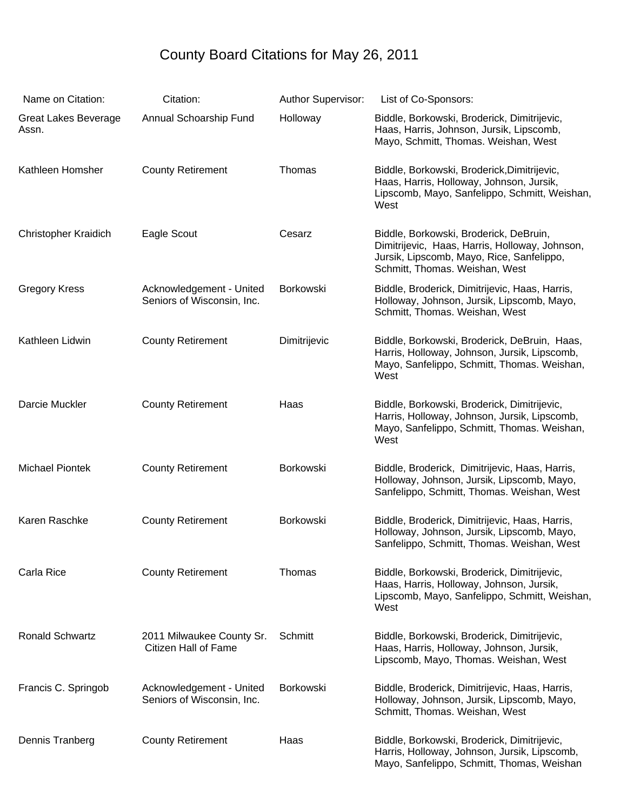## County Board Citations for May 26, 2011

| Name on Citation:                    | Citation:                                              | Author Supervisor: | List of Co-Sponsors:                                                                                                                                                    |
|--------------------------------------|--------------------------------------------------------|--------------------|-------------------------------------------------------------------------------------------------------------------------------------------------------------------------|
| <b>Great Lakes Beverage</b><br>Assn. | Annual Schoarship Fund                                 | Holloway           | Biddle, Borkowski, Broderick, Dimitrijevic,<br>Haas, Harris, Johnson, Jursik, Lipscomb,<br>Mayo, Schmitt, Thomas. Weishan, West                                         |
| Kathleen Homsher                     | <b>County Retirement</b>                               | Thomas             | Biddle, Borkowski, Broderick, Dimitrijevic,<br>Haas, Harris, Holloway, Johnson, Jursik,<br>Lipscomb, Mayo, Sanfelippo, Schmitt, Weishan,<br>West                        |
| <b>Christopher Kraidich</b>          | Eagle Scout                                            | Cesarz             | Biddle, Borkowski, Broderick, DeBruin,<br>Dimitrijevic, Haas, Harris, Holloway, Johnson,<br>Jursik, Lipscomb, Mayo, Rice, Sanfelippo,<br>Schmitt, Thomas. Weishan, West |
| <b>Gregory Kress</b>                 | Acknowledgement - United<br>Seniors of Wisconsin, Inc. | Borkowski          | Biddle, Broderick, Dimitrijevic, Haas, Harris,<br>Holloway, Johnson, Jursik, Lipscomb, Mayo,<br>Schmitt, Thomas. Weishan, West                                          |
| Kathleen Lidwin                      | <b>County Retirement</b>                               | Dimitrijevic       | Biddle, Borkowski, Broderick, DeBruin, Haas,<br>Harris, Holloway, Johnson, Jursik, Lipscomb,<br>Mayo, Sanfelippo, Schmitt, Thomas. Weishan,<br>West                     |
| Darcie Muckler                       | <b>County Retirement</b>                               | Haas               | Biddle, Borkowski, Broderick, Dimitrijevic,<br>Harris, Holloway, Johnson, Jursik, Lipscomb,<br>Mayo, Sanfelippo, Schmitt, Thomas. Weishan,<br>West                      |
| <b>Michael Piontek</b>               | <b>County Retirement</b>                               | Borkowski          | Biddle, Broderick, Dimitrijevic, Haas, Harris,<br>Holloway, Johnson, Jursik, Lipscomb, Mayo,<br>Sanfelippo, Schmitt, Thomas. Weishan, West                              |
| Karen Raschke                        | <b>County Retirement</b>                               | Borkowski          | Biddle, Broderick, Dimitrijevic, Haas, Harris,<br>Holloway, Johnson, Jursik, Lipscomb, Mayo,<br>Sanfelippo, Schmitt, Thomas. Weishan, West                              |
| Carla Rice                           | <b>County Retirement</b>                               | Thomas             | Biddle, Borkowski, Broderick, Dimitrijevic,<br>Haas, Harris, Holloway, Johnson, Jursik,<br>Lipscomb, Mayo, Sanfelippo, Schmitt, Weishan,<br>West                        |
| Ronald Schwartz                      | 2011 Milwaukee County Sr.<br>Citizen Hall of Fame      | Schmitt            | Biddle, Borkowski, Broderick, Dimitrijevic,<br>Haas, Harris, Holloway, Johnson, Jursik,<br>Lipscomb, Mayo, Thomas. Weishan, West                                        |
| Francis C. Springob                  | Acknowledgement - United<br>Seniors of Wisconsin, Inc. | <b>Borkowski</b>   | Biddle, Broderick, Dimitrijevic, Haas, Harris,<br>Holloway, Johnson, Jursik, Lipscomb, Mayo,<br>Schmitt, Thomas. Weishan, West                                          |
| Dennis Tranberg                      | <b>County Retirement</b>                               | Haas               | Biddle, Borkowski, Broderick, Dimitrijevic,<br>Harris, Holloway, Johnson, Jursik, Lipscomb,<br>Mayo, Sanfelippo, Schmitt, Thomas, Weishan                               |